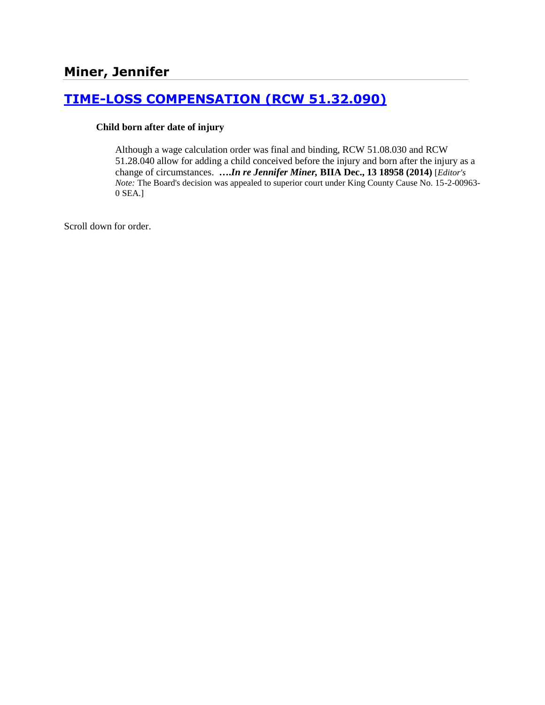# **[TIME-LOSS COMPENSATION \(RCW 51.32.090\)](http://www.biia.wa.gov/SDSubjectIndex.html#TIME_LOSS_COMPENSATION)**

#### **Child born after date of injury**

Although a wage calculation order was final and binding, RCW 51.08.030 and RCW 51.28.040 allow for adding a child conceived before the injury and born after the injury as a change of circumstances. **….***In re Jennifer Miner,* **BIIA Dec., 13 18958 (2014)** [*Editor's Note:* The Board's decision was appealed to superior court under King County Cause No. 15-2-00963- 0 SEA.]

Scroll down for order.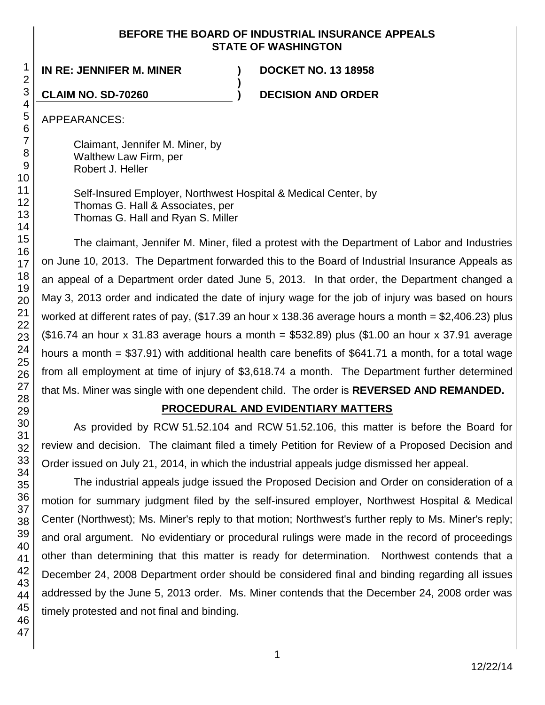## **BEFORE THE BOARD OF INDUSTRIAL INSURANCE APPEALS STATE OF WASHINGTON**

**IN RE: JENNIFER M. MINER ) DOCKET NO. 13 18958**

**CLAIM NO. SD-70260 ) DECISION AND ORDER**

APPEARANCES:

Claimant, Jennifer M. Miner, by Walthew Law Firm, per Robert J. Heller

Self-Insured Employer, Northwest Hospital & Medical Center, by Thomas G. Hall & Associates, per Thomas G. Hall and Ryan S. Miller

**)**

The claimant, Jennifer M. Miner, filed a protest with the Department of Labor and Industries on June 10, 2013. The Department forwarded this to the Board of Industrial Insurance Appeals as an appeal of a Department order dated June 5, 2013. In that order, the Department changed a May 3, 2013 order and indicated the date of injury wage for the job of injury was based on hours worked at different rates of pay, (\$17.39 an hour x 138.36 average hours a month = \$2,406.23) plus  $($16.74$$  an hour x 31.83 average hours a month = \$532.89) plus  $($1.00$$  an hour x 37.91 average hours a month = \$37.91) with additional health care benefits of \$641.71 a month, for a total wage from all employment at time of injury of \$3,618.74 a month. The Department further determined that Ms. Miner was single with one dependent child. The order is **REVERSED AND REMANDED.**

# **PROCEDURAL AND EVIDENTIARY MATTERS**

As provided by RCW 51.52.104 and RCW 51.52.106, this matter is before the Board for review and decision. The claimant filed a timely Petition for Review of a Proposed Decision and Order issued on July 21, 2014, in which the industrial appeals judge dismissed her appeal.

The industrial appeals judge issued the Proposed Decision and Order on consideration of a motion for summary judgment filed by the self-insured employer, Northwest Hospital & Medical Center (Northwest); Ms. Miner's reply to that motion; Northwest's further reply to Ms. Miner's reply; and oral argument. No evidentiary or procedural rulings were made in the record of proceedings other than determining that this matter is ready for determination. Northwest contends that a December 24, 2008 Department order should be considered final and binding regarding all issues addressed by the June 5, 2013 order. Ms. Miner contends that the December 24, 2008 order was timely protested and not final and binding.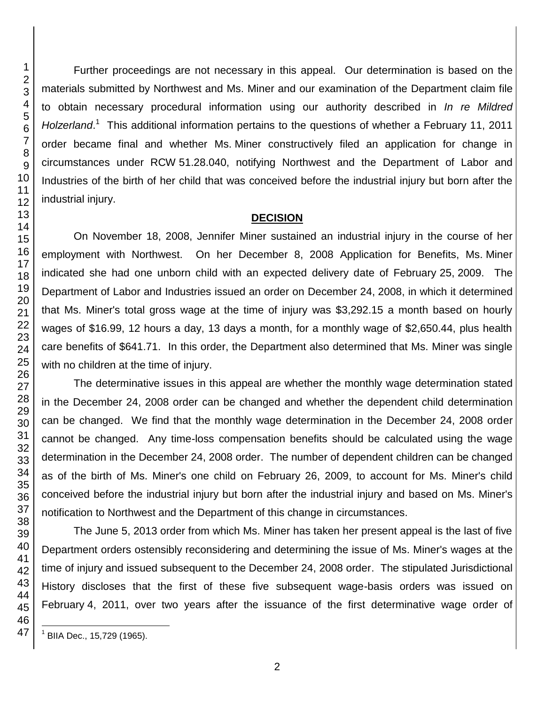Further proceedings are not necessary in this appeal. Our determination is based on the materials submitted by Northwest and Ms. Miner and our examination of the Department claim file to obtain necessary procedural information using our authority described in *In re Mildred*  Holzerland.<sup>1</sup> This additional information pertains to the questions of whether a February 11, 2011 order became final and whether Ms. Miner constructively filed an application for change in circumstances under RCW 51.28.040, notifying Northwest and the Department of Labor and Industries of the birth of her child that was conceived before the industrial injury but born after the industrial injury.

#### **DECISION**

On November 18, 2008, Jennifer Miner sustained an industrial injury in the course of her employment with Northwest. On her December 8, 2008 Application for Benefits, Ms. Miner indicated she had one unborn child with an expected delivery date of February 25, 2009. The Department of Labor and Industries issued an order on December 24, 2008, in which it determined that Ms. Miner's total gross wage at the time of injury was \$3,292.15 a month based on hourly wages of \$16.99, 12 hours a day, 13 days a month, for a monthly wage of \$2,650.44, plus health care benefits of \$641.71. In this order, the Department also determined that Ms. Miner was single with no children at the time of injury.

The determinative issues in this appeal are whether the monthly wage determination stated in the December 24, 2008 order can be changed and whether the dependent child determination can be changed. We find that the monthly wage determination in the December 24, 2008 order cannot be changed. Any time-loss compensation benefits should be calculated using the wage determination in the December 24, 2008 order. The number of dependent children can be changed as of the birth of Ms. Miner's one child on February 26, 2009, to account for Ms. Miner's child conceived before the industrial injury but born after the industrial injury and based on Ms. Miner's notification to Northwest and the Department of this change in circumstances.

The June 5, 2013 order from which Ms. Miner has taken her present appeal is the last of five Department orders ostensibly reconsidering and determining the issue of Ms. Miner's wages at the time of injury and issued subsequent to the December 24, 2008 order. The stipulated Jurisdictional History discloses that the first of these five subsequent wage-basis orders was issued on February 4, 2011, over two years after the issuance of the first determinative wage order of

l

BIIA Dec., 15,729 (1965).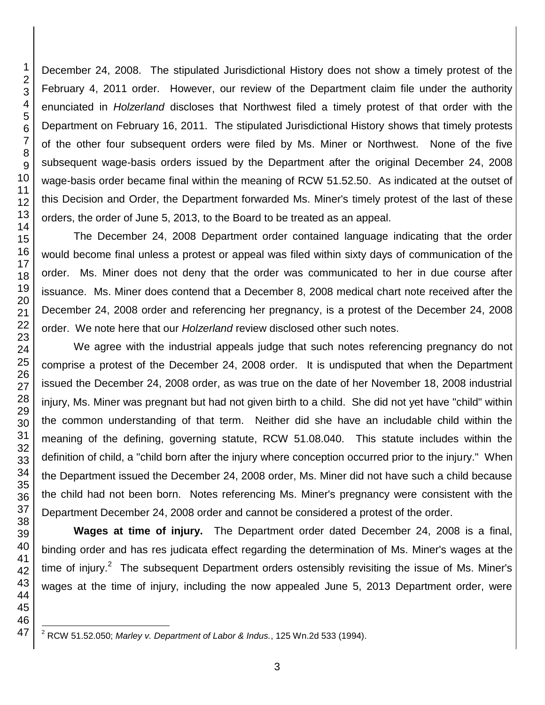December 24, 2008. The stipulated Jurisdictional History does not show a timely protest of the February 4, 2011 order. However, our review of the Department claim file under the authority enunciated in *Holzerland* discloses that Northwest filed a timely protest of that order with the Department on February 16, 2011. The stipulated Jurisdictional History shows that timely protests of the other four subsequent orders were filed by Ms. Miner or Northwest. None of the five subsequent wage-basis orders issued by the Department after the original December 24, 2008 wage-basis order became final within the meaning of RCW 51.52.50. As indicated at the outset of this Decision and Order, the Department forwarded Ms. Miner's timely protest of the last of these orders, the order of June 5, 2013, to the Board to be treated as an appeal.

The December 24, 2008 Department order contained language indicating that the order would become final unless a protest or appeal was filed within sixty days of communication of the order. Ms. Miner does not deny that the order was communicated to her in due course after issuance. Ms. Miner does contend that a December 8, 2008 medical chart note received after the December 24, 2008 order and referencing her pregnancy, is a protest of the December 24, 2008 order. We note here that our *Holzerland* review disclosed other such notes.

We agree with the industrial appeals judge that such notes referencing pregnancy do not comprise a protest of the December 24, 2008 order. It is undisputed that when the Department issued the December 24, 2008 order, as was true on the date of her November 18, 2008 industrial injury, Ms. Miner was pregnant but had not given birth to a child. She did not yet have "child" within the common understanding of that term. Neither did she have an includable child within the meaning of the defining, governing statute, RCW 51.08.040. This statute includes within the definition of child, a "child born after the injury where conception occurred prior to the injury." When the Department issued the December 24, 2008 order, Ms. Miner did not have such a child because the child had not been born. Notes referencing Ms. Miner's pregnancy were consistent with the Department December 24, 2008 order and cannot be considered a protest of the order.

**Wages at time of injury.** The Department order dated December 24, 2008 is a final, binding order and has res judicata effect regarding the determination of Ms. Miner's wages at the time of injury.<sup>2</sup> The subsequent Department orders ostensibly revisiting the issue of Ms. Miner's wages at the time of injury, including the now appealed June 5, 2013 Department order, were

 $\overline{\phantom{a}}$ RCW 51.52.050; *Marley v. Department of Labor & Indus.*, 125 Wn.2d 533 (1994).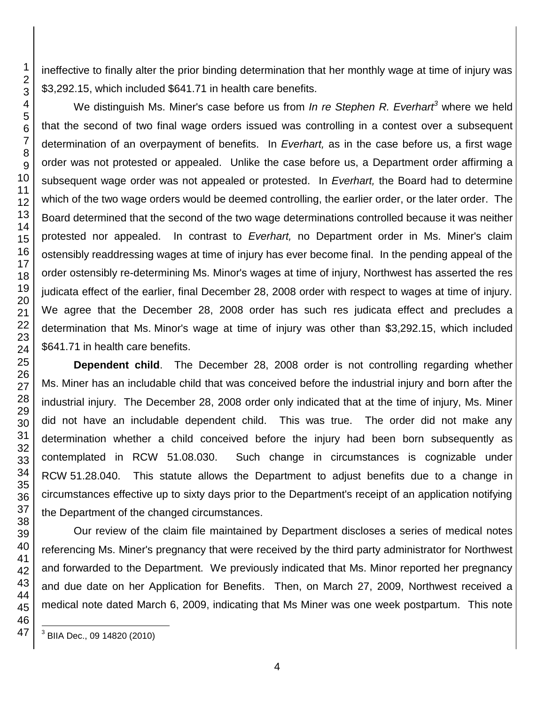ineffective to finally alter the prior binding determination that her monthly wage at time of injury was \$3,292.15, which included \$641.71 in health care benefits.

We distinguish Ms. Miner's case before us from *In re Stephen R. Everhart<sup>3</sup>* where we held that the second of two final wage orders issued was controlling in a contest over a subsequent determination of an overpayment of benefits. In *Everhart,* as in the case before us, a first wage order was not protested or appealed. Unlike the case before us, a Department order affirming a subsequent wage order was not appealed or protested. In *Everhart,* the Board had to determine which of the two wage orders would be deemed controlling, the earlier order, or the later order. The Board determined that the second of the two wage determinations controlled because it was neither protested nor appealed. In contrast to *Everhart,* no Department order in Ms. Miner's claim ostensibly readdressing wages at time of injury has ever become final. In the pending appeal of the order ostensibly re-determining Ms. Minor's wages at time of injury, Northwest has asserted the res judicata effect of the earlier, final December 28, 2008 order with respect to wages at time of injury. We agree that the December 28, 2008 order has such res judicata effect and precludes a determination that Ms. Minor's wage at time of injury was other than \$3,292.15, which included \$641.71 in health care benefits.

**Dependent child**. The December 28, 2008 order is not controlling regarding whether Ms. Miner has an includable child that was conceived before the industrial injury and born after the industrial injury. The December 28, 2008 order only indicated that at the time of injury, Ms. Miner did not have an includable dependent child. This was true. The order did not make any determination whether a child conceived before the injury had been born subsequently as contemplated in RCW 51.08.030. Such change in circumstances is cognizable under RCW 51.28.040. This statute allows the Department to adjust benefits due to a change in circumstances effective up to sixty days prior to the Department's receipt of an application notifying the Department of the changed circumstances.

Our review of the claim file maintained by Department discloses a series of medical notes referencing Ms. Miner's pregnancy that were received by the third party administrator for Northwest and forwarded to the Department. We previously indicated that Ms. Minor reported her pregnancy and due date on her Application for Benefits. Then, on March 27, 2009, Northwest received a medical note dated March 6, 2009, indicating that Ms Miner was one week postpartum. This note

l BIIA Dec., 09 14820 (2010)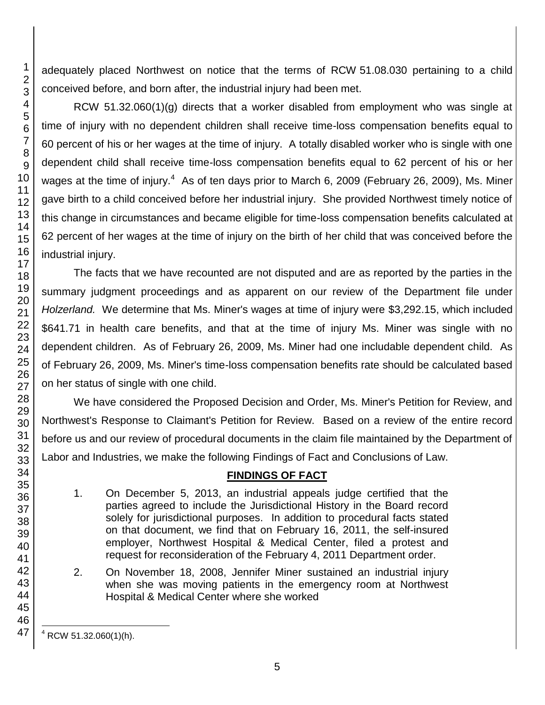adequately placed Northwest on notice that the terms of RCW 51.08.030 pertaining to a child conceived before, and born after, the industrial injury had been met.

RCW 51.32.060(1)(g) directs that a worker disabled from employment who was single at time of injury with no dependent children shall receive time-loss compensation benefits equal to percent of his or her wages at the time of injury. A totally disabled worker who is single with one dependent child shall receive time-loss compensation benefits equal to 62 percent of his or her wages at the time of injury.<sup>4</sup> As of ten days prior to March 6, 2009 (February 26, 2009), Ms. Miner gave birth to a child conceived before her industrial injury. She provided Northwest timely notice of this change in circumstances and became eligible for time-loss compensation benefits calculated at percent of her wages at the time of injury on the birth of her child that was conceived before the industrial injury.

The facts that we have recounted are not disputed and are as reported by the parties in the summary judgment proceedings and as apparent on our review of the Department file under *Holzerland.* We determine that Ms. Miner's wages at time of injury were \$3,292.15, which included \$641.71 in health care benefits, and that at the time of injury Ms. Miner was single with no dependent children. As of February 26, 2009, Ms. Miner had one includable dependent child. As of February 26, 2009, Ms. Miner's time-loss compensation benefits rate should be calculated based on her status of single with one child.

We have considered the Proposed Decision and Order, Ms. Miner's Petition for Review, and Northwest's Response to Claimant's Petition for Review. Based on a review of the entire record before us and our review of procedural documents in the claim file maintained by the Department of Labor and Industries, we make the following Findings of Fact and Conclusions of Law.

# **FINDINGS OF FACT**

- 1. On December 5, 2013, an industrial appeals judge certified that the parties agreed to include the Jurisdictional History in the Board record solely for jurisdictional purposes. In addition to procedural facts stated on that document, we find that on February 16, 2011, the self-insured employer, Northwest Hospital & Medical Center, filed a protest and request for reconsideration of the February 4, 2011 Department order.
- 2. On November 18, 2008, Jennifer Miner sustained an industrial injury when she was moving patients in the emergency room at Northwest Hospital & Medical Center where she worked

 

l RCW 51.32.060(1)(h).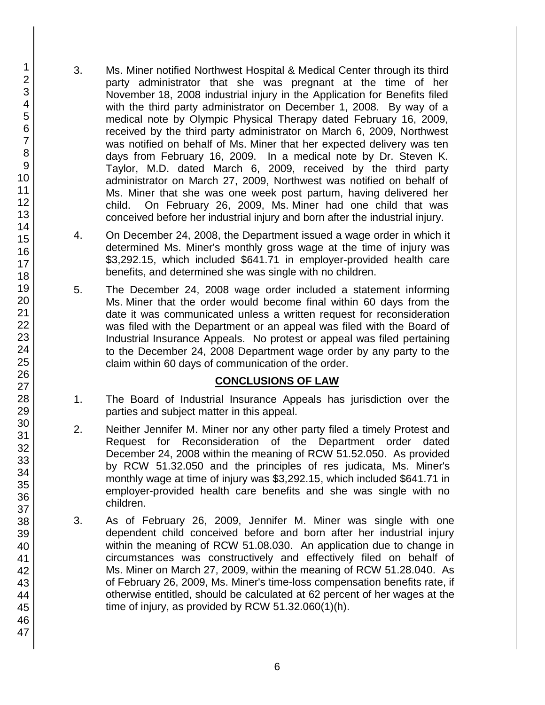- 3. Ms. Miner notified Northwest Hospital & Medical Center through its third party administrator that she was pregnant at the time of her November 18, 2008 industrial injury in the Application for Benefits filed with the third party administrator on December 1, 2008. By way of a medical note by Olympic Physical Therapy dated February 16, 2009, received by the third party administrator on March 6, 2009, Northwest was notified on behalf of Ms. Miner that her expected delivery was ten days from February 16, 2009. In a medical note by Dr. Steven K. Taylor, M.D. dated March 6, 2009, received by the third party administrator on March 27, 2009, Northwest was notified on behalf of Ms. Miner that she was one week post partum, having delivered her child. On February 26, 2009, Ms. Miner had one child that was conceived before her industrial injury and born after the industrial injury.
- 4. On December 24, 2008, the Department issued a wage order in which it determined Ms. Miner's monthly gross wage at the time of injury was \$3,292.15, which included \$641.71 in employer-provided health care benefits, and determined she was single with no children.
- 5. The December 24, 2008 wage order included a statement informing Ms. Miner that the order would become final within 60 days from the date it was communicated unless a written request for reconsideration was filed with the Department or an appeal was filed with the Board of Industrial Insurance Appeals. No protest or appeal was filed pertaining to the December 24, 2008 Department wage order by any party to the claim within 60 days of communication of the order.

# **CONCLUSIONS OF LAW**

- 1. The Board of Industrial Insurance Appeals has jurisdiction over the parties and subject matter in this appeal.
- 2. Neither Jennifer M. Miner nor any other party filed a timely Protest and Request for Reconsideration of the Department order dated December 24, 2008 within the meaning of RCW 51.52.050. As provided by RCW 51.32.050 and the principles of res judicata, Ms. Miner's monthly wage at time of injury was \$3,292.15, which included \$641.71 in employer-provided health care benefits and she was single with no children.
- 3. As of February 26, 2009, Jennifer M. Miner was single with one dependent child conceived before and born after her industrial injury within the meaning of RCW 51.08.030. An application due to change in circumstances was constructively and effectively filed on behalf of Ms. Miner on March 27, 2009, within the meaning of RCW 51.28.040. As of February 26, 2009, Ms. Miner's time-loss compensation benefits rate, if otherwise entitled, should be calculated at 62 percent of her wages at the time of injury, as provided by RCW 51.32.060(1)(h).

1